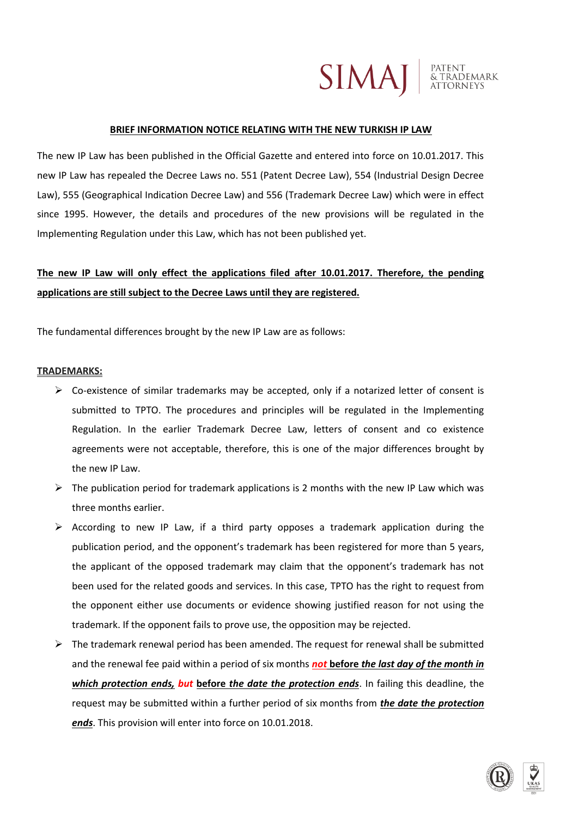

#### **BRIEF INFORMATION NOTICE RELATING WITH THE NEW TURKISH IP LAW**

The new IP Law has been published in the Official Gazette and entered into force on 10.01.2017. This new IP Law has repealed the Decree Laws no. 551 (Patent Decree Law), 554 (Industrial Design Decree Law), 555 (Geographical Indication Decree Law) and 556 (Trademark Decree Law) which were in effect since 1995. However, the details and procedures of the new provisions will be regulated in the Implementing Regulation under this Law, which has not been published yet.

# **The new IP Law will only effect the applications filed after 10.01.2017. Therefore, the pending applications are still subject to the Decree Laws until they are registered.**

The fundamental differences brought by the new IP Law are as follows:

### **TRADEMARKS:**

- $\triangleright$  Co-existence of similar trademarks may be accepted, only if a notarized letter of consent is submitted to TPTO. The procedures and principles will be regulated in the Implementing Regulation. In the earlier Trademark Decree Law, letters of consent and co existence agreements were not acceptable, therefore, this is one of the major differences brought by the new IP Law.
- $\triangleright$  The publication period for trademark applications is 2 months with the new IP Law which was three months earlier.
- $\triangleright$  According to new IP Law, if a third party opposes a trademark application during the publication period, and the opponent's trademark has been registered for more than 5 years, the applicant of the opposed trademark may claim that the opponent's trademark has not been used for the related goods and services. In this case, TPTO has the right to request from the opponent either use documents or evidence showing justified reason for not using the trademark. If the opponent fails to prove use, the opposition may be rejected.
- $\triangleright$  The trademark renewal period has been amended. The request for renewal shall be submitted and the renewal fee paid within a period of six months *not* **before** *the last day of the month in which protection ends, but* **before** *the date the protection ends*. In failing this deadline, the request may be submitted within a further period of six months from *the date the protection ends*. This provision will enter into force on 10.01.2018.